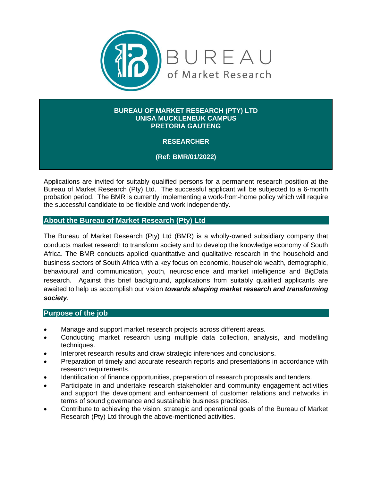

#### **BUREAU OF MARKET RESEARCH (PTY) LTD UNISA MUCKLENEUK CAMPUS PRETORIA GAUTENG**

**RESEARCHER**

**(Ref: BMR/01/2022)**

Applications are invited for suitably qualified persons for a permanent research position at the Bureau of Market Research (Pty) Ltd. The successful applicant will be subjected to a 6-month probation period. The BMR is currently implementing a work-from-home policy which will require the successful candidate to be flexible and work independently.

## **About the Bureau of Market Research (Pty) Ltd**

The Bureau of Market Research (Pty) Ltd (BMR) is a wholly-owned subsidiary company that conducts market research to transform society and to develop the knowledge economy of South Africa. The BMR conducts applied quantitative and qualitative research in the household and business sectors of South Africa with a key focus on economic, household wealth, demographic, behavioural and communication, youth, neuroscience and market intelligence and BigData research. Against this brief background, applications from suitably qualified applicants are awaited to help us accomplish our vision *towards shaping market research and transforming society*.

### **Purpose of the job**

- Manage and support market research projects across different areas.
- Conducting market research using multiple data collection, analysis, and modelling techniques.
- Interpret research results and draw strategic inferences and conclusions.
- Preparation of timely and accurate research reports and presentations in accordance with research requirements.
- Identification of finance opportunities, preparation of research proposals and tenders.
- Participate in and undertake research stakeholder and community engagement activities and support the development and enhancement of customer relations and networks in terms of sound governance and sustainable business practices.
- Contribute to achieving the vision, strategic and operational goals of the Bureau of Market Research (Pty) Ltd through the above-mentioned activities.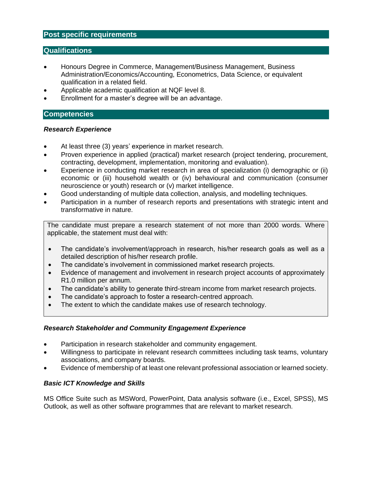# **Post specific requirements**

### **Qualifications**

- Honours Degree in Commerce, Management/Business Management, Business Administration/Economics/Accounting, Econometrics, Data Science, or equivalent qualification in a related field.
- Applicable academic qualification at NQF level 8.
- Enrollment for a master's degree will be an advantage.

### **Competencies**

#### *Research Experience*

- At least three (3) years' experience in market research.
- Proven experience in applied (practical) market research (project tendering, procurement, contracting, development, implementation, monitoring and evaluation).
- Experience in conducting market research in area of specialization (i) demographic or (ii) economic or (iii) household wealth or (iv) behavioural and communication (consumer neuroscience or youth) research or (v) market intelligence.
- Good understanding of multiple data collection, analysis, and modelling techniques.
- Participation in a number of research reports and presentations with strategic intent and transformative in nature.

The candidate must prepare a research statement of not more than 2000 words. Where applicable, the statement must deal with:

- The candidate's involvement/approach in research, his/her research goals as well as a detailed description of his/her research profile.
- The candidate's involvement in commissioned market research projects.
- Evidence of management and involvement in research project accounts of approximately R1.0 million per annum.
- The candidate's ability to generate third-stream income from market research projects.
- The candidate's approach to foster a research-centred approach.
- The extent to which the candidate makes use of research technology.

#### *Research Stakeholder and Community Engagement Experience*

- Participation in research stakeholder and community engagement.
- Willingness to participate in relevant research committees including task teams, voluntary associations, and company boards.
- Evidence of membership of at least one relevant professional association or learned society.

### *Basic ICT Knowledge and Skills*

MS Office Suite such as MSWord, PowerPoint, Data analysis software (i.e., Excel, SPSS), MS Outlook, as well as other software programmes that are relevant to market research.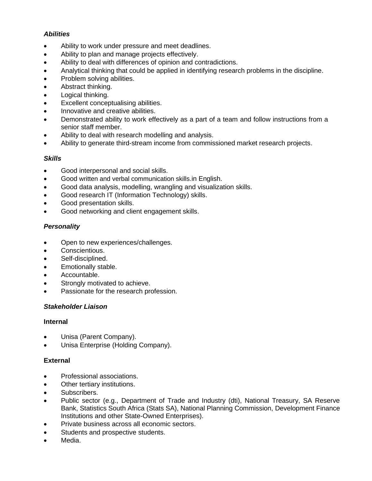### *Abilities*

- Ability to work under pressure and meet deadlines.
- Ability to plan and manage projects effectively.
- Ability to deal with differences of opinion and contradictions.
- Analytical thinking that could be applied in identifying research problems in the discipline.
- Problem solving abilities.
- Abstract thinking.
- Logical thinking.
- Excellent conceptualising abilities.
- Innovative and creative abilities.
- Demonstrated ability to work effectively as a part of a team and follow instructions from a senior staff member.
- Ability to deal with research modelling and analysis.
- Ability to generate third-stream income from commissioned market research projects.

### *Skills*

- Good interpersonal and social skills.
- Good written and verbal communication skills.in English.
- Good data analysis, modelling, wrangling and visualization skills.
- Good research IT (Information Technology) skills.
- Good presentation skills.
- Good networking and client engagement skills.

# *Personality*

- Open to new experiences/challenges.
- Conscientious.
- Self-disciplined.
- Emotionally stable.
- Accountable.
- Strongly motivated to achieve.
- Passionate for the research profession.

### *Stakeholder Liaison*

### **Internal**

- Unisa (Parent Company).
- Unisa Enterprise (Holding Company).

### **External**

- Professional associations.
- Other tertiary institutions.
- Subscribers.
- Public sector (e.g., Department of Trade and Industry (dti), National Treasury, SA Reserve Bank, Statistics South Africa (Stats SA), National Planning Commission, Development Finance Institutions and other State-Owned Enterprises).
- Private business across all economic sectors.
- Students and prospective students.
- Media.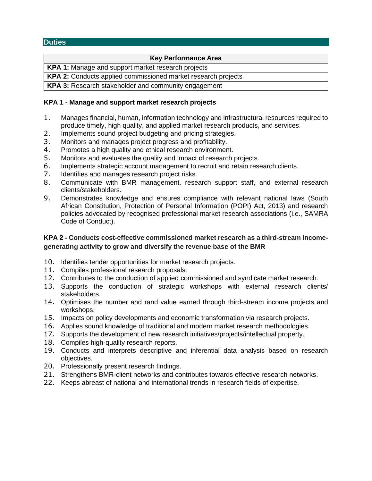## **Duties**

### **Key Performance Area**

**KPA 1:** Manage and support market research projects

**KPA 2:** Conducts applied commissioned market research projects

**KPA 3:** Research stakeholder and community engagement

## **KPA 1 - Manage and support market research projects**

- 1. Manages financial, human, information technology and infrastructural resources required to produce timely, high quality, and applied market research products, and services.
- 2. Implements sound project budgeting and pricing strategies.
- 3. Monitors and manages project progress and profitability.
- 4. Promotes a high quality and ethical research environment.
- 5. Monitors and evaluates the quality and impact of research projects.
- 6. Implements strategic account management to recruit and retain research clients.
- 7. Identifies and manages research project risks.
- 8. Communicate with BMR management, research support staff, and external research clients/stakeholders.
- 9. Demonstrates knowledge and ensures compliance with relevant national laws (South African Constitution, Protection of Personal Information (POPI) Act, 2013) and research policies advocated by recognised professional market research associations (i.e., SAMRA Code of Conduct).

# **KPA 2 - Conducts cost-effective commissioned market research as a third-stream incomegenerating activity to grow and diversify the revenue base of the BMR**

- 10. Identifies tender opportunities for market research projects.
- 11. Compiles professional research proposals.
- 12. Contributes to the conduction of applied commissioned and syndicate market research.
- 13. Supports the conduction of strategic workshops with external research clients/ stakeholders.
- 14. Optimises the number and rand value earned through third-stream income projects and workshops.
- 15. Impacts on policy developments and economic transformation via research projects.
- 16. Applies sound knowledge of traditional and modern market research methodologies.
- 17. Supports the development of new research initiatives/projects/intellectual property.
- 18. Compiles high-quality research reports.
- 19. Conducts and interprets descriptive and inferential data analysis based on research objectives.
- 20. Professionally present research findings.
- 21. Strengthens BMR-client networks and contributes towards effective research networks.
- 22. Keeps abreast of national and international trends in research fields of expertise.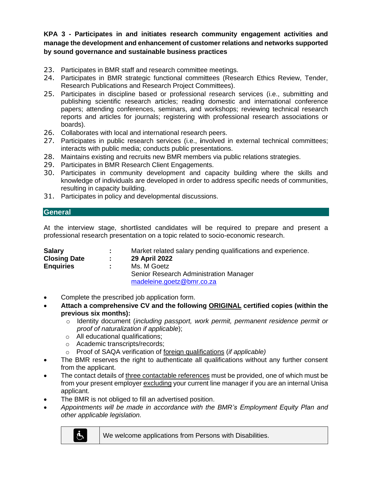**KPA 3 - Participates in and initiates research community engagement activities and manage the development and enhancement of customer relations and networks supported by sound governance and sustainable business practices**

- 23. Participates in BMR staff and research committee meetings.
- 24. Participates in BMR strategic functional committees (Research Ethics Review, Tender, Research Publications and Research Project Committees).
- 25. Participates in discipline based or professional research services (i.e., submitting and publishing scientific research articles; reading domestic and international conference papers; attending conferences, seminars, and workshops; reviewing technical research reports and articles for journals; registering with professional research associations or boards).
- 26. Collaborates with local and international research peers.
- 27. Participates in public research services (i.e., **i**nvolved in external technical committees; interacts with public media; conducts public presentations.
- 28. Maintains existing and recruits new BMR members via public relations strategies.
- 29. Participates in BMR Research Client Engagements.
- 30. Participates in community development and capacity building where the skills and knowledge of individuals are developed in order to address specific needs of communities, resulting in capacity building.
- 31. Participates in policy and developmental discussions.

# **General**

At the interview stage, shortlisted candidates will be required to prepare and present a professional research presentation on a topic related to socio-economic research.

| <b>Salary</b>       | $\mathbb{Z}^{\mathbb{Z}}$ | Market related salary pending qualifications and experience. |
|---------------------|---------------------------|--------------------------------------------------------------|
| <b>Closing Date</b> | ÷.                        | 29 April 2022                                                |
| <b>Enquiries</b>    |                           | Ms. M Goetz                                                  |
|                     |                           | Senior Research Administration Manager                       |
|                     |                           | madeleine.goetz@bmr.co.za                                    |

- Complete the prescribed job application form.
- **Attach a comprehensive CV and the following ORIGINAL certified copies (within the previous six months):**
	- o Identity document (*including passport, work permit, permanent residence permit or proof of naturalization if applicable*);
	- o All educational qualifications;
	- o Academic transcripts/records;
	- o Proof of SAQA verification of foreign qualifications (*if applicable)*
- The BMR reserves the right to authenticate all qualifications without any further consent from the applicant.
- The contact details of three contactable references must be provided, one of which must be from your present employer excluding your current line manager if you are an internal Unisa applicant.
- The BMR is not obliged to fill an advertised position.
- *Appointments will be made in accordance with the BMR's Employment Equity Plan and other applicable legislation.*



We welcome applications from Persons with Disabilities.